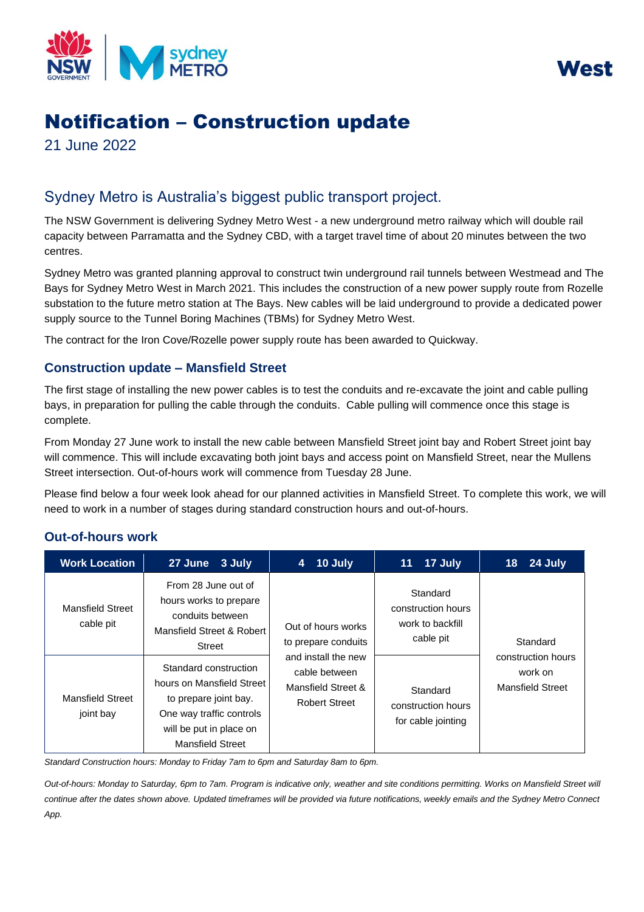



# Notification – Construction update

21 June 2022

## Sydney Metro is Australia's biggest public transport project.

The NSW Government is delivering Sydney Metro West - a new underground metro railway which will double rail capacity between Parramatta and the Sydney CBD, with a target travel time of about 20 minutes between the two centres.

 substation to the future metro station at The Bays. New cables will be laid underground to provide a dedicated power Sydney Metro was granted planning approval to construct twin underground rail tunnels between Westmead and The Bays for Sydney Metro West in March 2021. This includes the construction of a new power supply route from Rozelle supply source to the Tunnel Boring Machines (TBMs) for Sydney Metro West.

The contract for the Iron Cove/Rozelle power supply route has been awarded to Quickway.

## **Construction update – Mansfield Street**

The first stage of installing the new power cables is to test the conduits and re-excavate the joint and cable pulling bays, in preparation for pulling the cable through the conduits. Cable pulling will commence once this stage is complete.

From Monday 27 June work to install the new cable between Mansfield Street joint bay and Robert Street joint bay will commence. This will include excavating both joint bays and access point on Mansfield Street, near the Mullens Street intersection. Out-of-hours work will commence from Tuesday 28 June.

Please find below a four week look ahead for our planned activities in Mansfield Street. To complete this work, we will need to work in a number of stages during standard construction hours and out-of-hours.

## **Out-of-hours work**

| <b>Work Location</b>                 | 27 June<br>3 July                                                                                                                                             | 10 July<br>4                                                                                                                    | 17 July<br>11                                                   | 24 July<br>18                                                        |
|--------------------------------------|---------------------------------------------------------------------------------------------------------------------------------------------------------------|---------------------------------------------------------------------------------------------------------------------------------|-----------------------------------------------------------------|----------------------------------------------------------------------|
| <b>Mansfield Street</b><br>cable pit | From 28 June out of<br>hours works to prepare<br>conduits between<br>Mansfield Street & Robert<br>Street                                                      | Out of hours works<br>to prepare conduits<br>and install the new<br>cable between<br>Mansfield Street &<br><b>Robert Street</b> | Standard<br>construction hours<br>work to backfill<br>cable pit | Standard<br>construction hours<br>work on<br><b>Mansfield Street</b> |
| <b>Mansfield Street</b><br>joint bay | Standard construction<br>hours on Mansfield Street<br>to prepare joint bay.<br>One way traffic controls<br>will be put in place on<br><b>Mansfield Street</b> |                                                                                                                                 | Standard<br>construction hours<br>for cable jointing            |                                                                      |

Standard Construction hours: Monday to Friday 7am to 6pm and Saturday 8am to 6pm.

 *Out-of-hours: Monday to Saturday, 6pm to 7am. Program is indicative only, weather and site conditions permitting. Works on Mansfield Street will continue after the dates shown above. Updated timeframes will be provided via future notifications, weekly emails and the Sydney Metro Connect App.*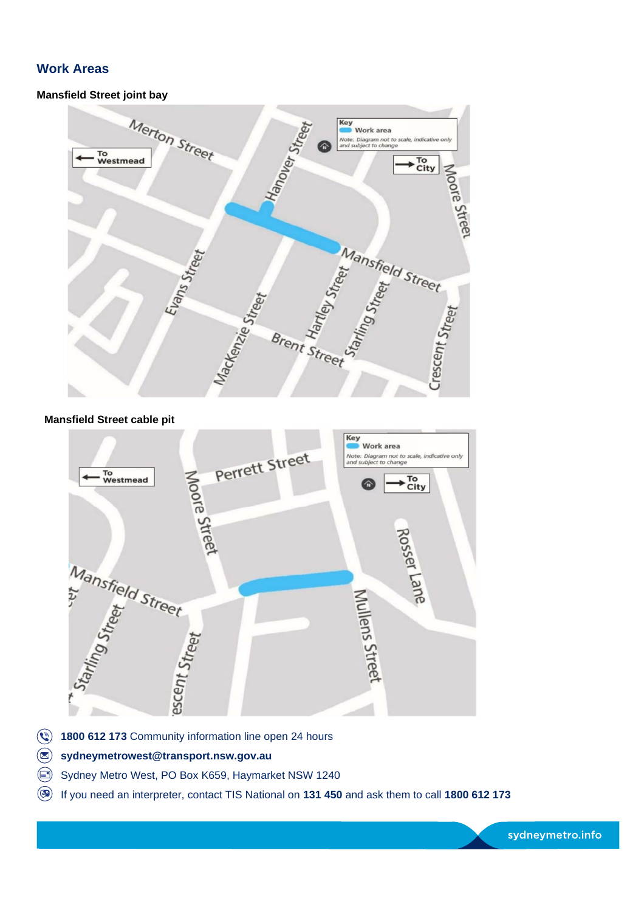## **Work Areas**

#### **Mansfield Street joint bay**



#### **Mansfield Street cable pit**



- $\odot$ 1800 612 173 Community information line open 24 hours
- $\circledR$ sydneymetrowest@transport.nsw.gov.au
- $\textcircled{\scriptsize{}}$ Sydney Metro West, PO Box K659, Haymarket NSW 1240
- (512 173) If you need an interpreter, contact TIS National on 131 450 and ask them to call 1800 612 173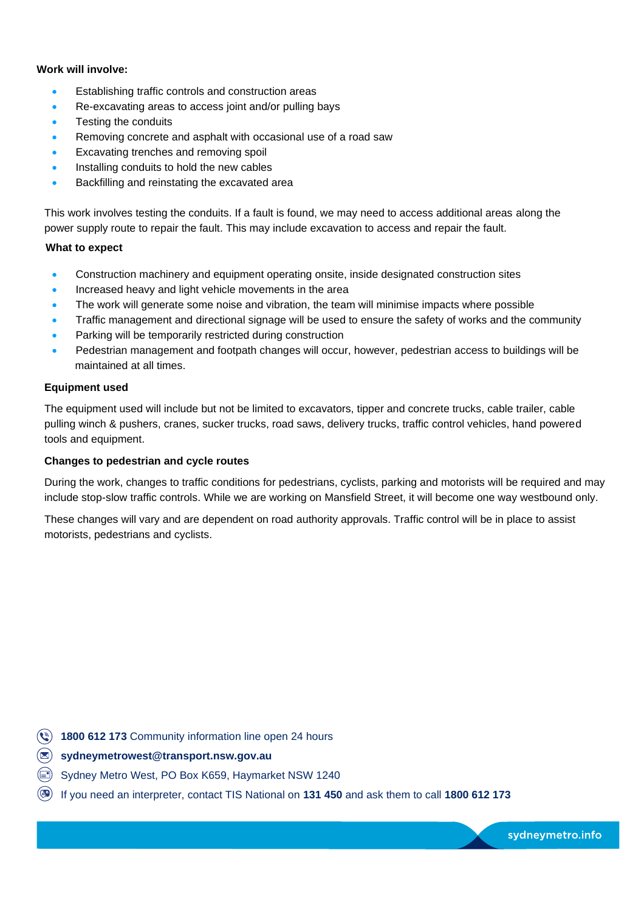#### **Work will involve:**

- Establishing traffic controls and construction areas
- Re-excavating areas to access joint and/or pulling bays
- Testing the conduits
- Removing concrete and asphalt with occasional use of a road saw
- Excavating trenches and removing spoil
- Installing conduits to hold the new cables
- Backfilling and reinstating the excavated area

This work involves testing the conduits. If a fault is found, we may need to access additional areas along the power supply route to repair the fault. This may include excavation to access and repair the fault.

#### **What to expect**

- Construction machinery and equipment operating onsite, inside designated construction sites
- Increased heavy and light vehicle movements in the area
- The work will generate some noise and vibration, the team will minimise impacts where possible
- Traffic management and directional signage will be used to ensure the safety of works and the community
- Parking will be temporarily restricted during construction
- Pedestrian management and footpath changes will occur, however, pedestrian access to buildings will be maintained at all times.

#### **Equipment used**

The equipment used will include but not be limited to excavators, tipper and concrete trucks, cable trailer, cable pulling winch & pushers, cranes, sucker trucks, road saws, delivery trucks, traffic control vehicles, hand powered tools and equipment.

#### **Changes to pedestrian and cycle routes**

During the work, changes to traffic conditions for pedestrians, cyclists, parking and motorists will be required and may include stop-slow traffic controls. While we are working on Mansfield Street, it will become one way westbound only.

These changes will vary and are dependent on road authority approvals. Traffic control will be in place to assist motorists, pedestrians and cyclists.

- **8** 1800 612 173 Community information line open 24 hours
- @) **sydneymetrowest@transport.nsw.gov.au**
- ~ Sydney Metro West, PO Box K659, Haymarket NSW 1240
- @ If you need an interpreter, contact TIS National on **131 450** and ask them to call **1800 612 173**